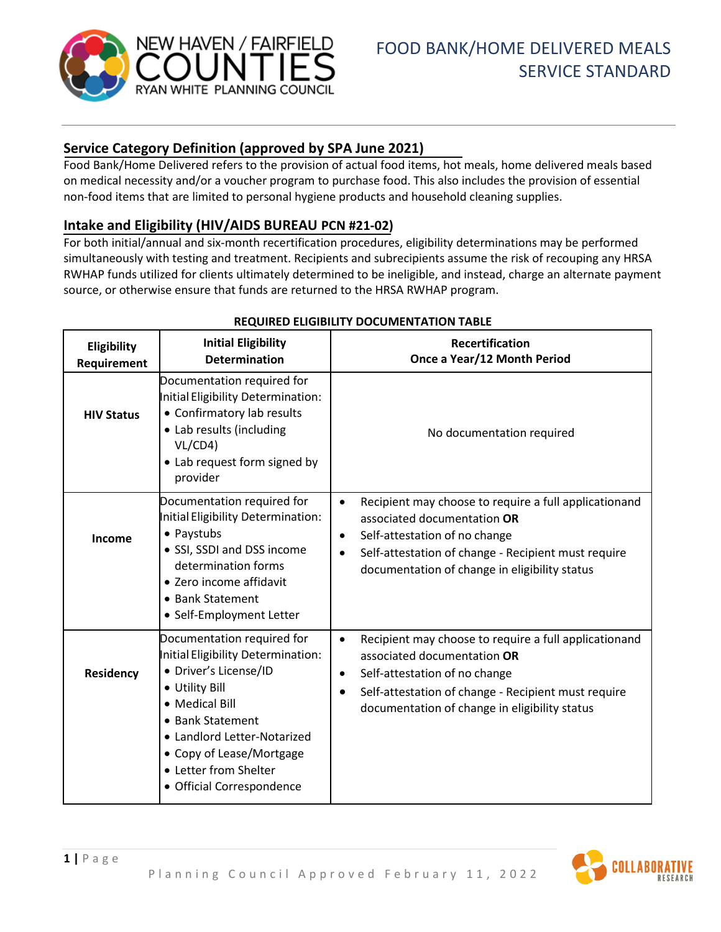

# **Service Category Definition (approved by SPA June 2021)**

Food Bank/Home Delivered refers to the provision of actual food items, hot meals, home delivered meals based on medical necessity and/or a voucher program to purchase food. This also includes the provision of essential non-food items that are limited to personal hygiene products and household cleaning supplies.

## **Intake and Eligibility (HIV/AIDS BUREAU PCN #21-02)**

For both initial/annual and six-month recertification procedures, eligibility determinations may be performed simultaneously with testing and treatment. Recipients and subrecipients assume the risk of recouping any HRSA RWHAP funds utilized for clients ultimately determined to be ineligible, and instead, charge an alternate payment source, or otherwise ensure that funds are returned to the HRSA RWHAP program.

| Eligibility<br>Requirement | <b>Initial Eligibility</b><br><b>Determination</b>                                                                                                                                                                                                                 | Recertification<br>Once a Year/12 Month Period                                                                                                                                                                                                                       |
|----------------------------|--------------------------------------------------------------------------------------------------------------------------------------------------------------------------------------------------------------------------------------------------------------------|----------------------------------------------------------------------------------------------------------------------------------------------------------------------------------------------------------------------------------------------------------------------|
| <b>HIV Status</b>          | Documentation required for<br>Initial Eligibility Determination:<br>• Confirmatory lab results<br>• Lab results (including<br>VL/CD4)<br>• Lab request form signed by<br>provider                                                                                  | No documentation required                                                                                                                                                                                                                                            |
| Income                     | Documentation required for<br>Initial Eligibility Determination:<br>• Paystubs<br>• SSI, SSDI and DSS income<br>determination forms<br>• Zero income affidavit<br>• Bank Statement<br>• Self-Employment Letter                                                     | Recipient may choose to require a full applicationand<br>$\bullet$<br>associated documentation OR<br>Self-attestation of no change<br>$\bullet$<br>Self-attestation of change - Recipient must require<br>$\bullet$<br>documentation of change in eligibility status |
| Residency                  | Documentation required for<br>Initial Eligibility Determination:<br>· Driver's License/ID<br>• Utility Bill<br>• Medical Bill<br>• Bank Statement<br>• Landlord Letter-Notarized<br>• Copy of Lease/Mortgage<br>• Letter from Shelter<br>• Official Correspondence | Recipient may choose to require a full applicationand<br>$\bullet$<br>associated documentation OR<br>Self-attestation of no change<br>$\bullet$<br>Self-attestation of change - Recipient must require<br>$\bullet$<br>documentation of change in eligibility status |

### **REQUIRED ELIGIBILITY DOCUMENTATION TABLE**

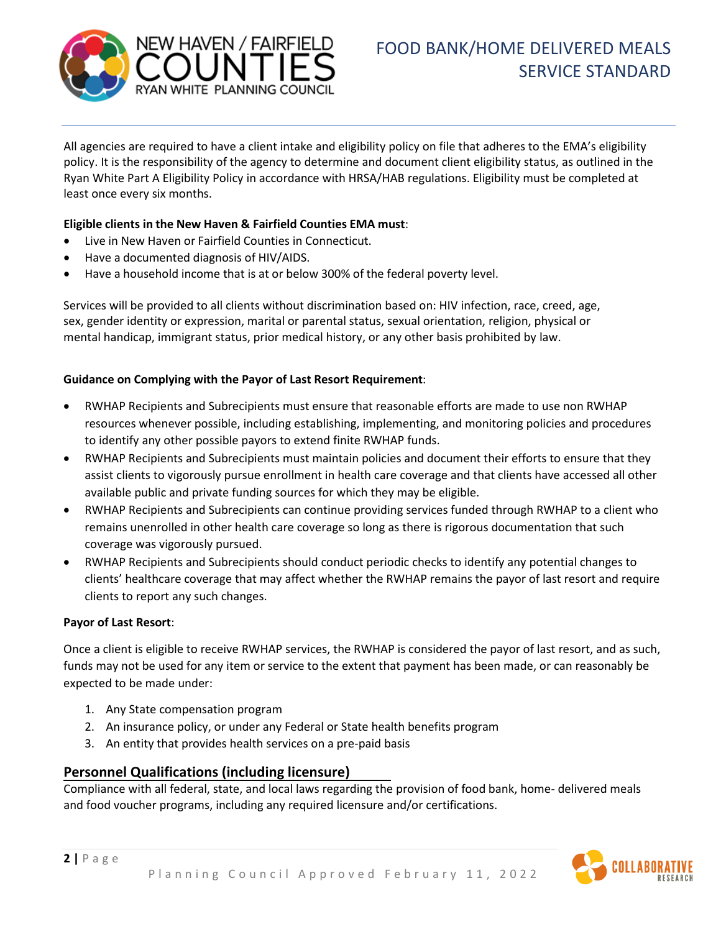

All agencies are required to have a client intake and eligibility policy on file that adheres to the EMA's eligibility policy. It is the responsibility of the agency to determine and document client eligibility status, as outlined in the Ryan White Part A Eligibility Policy in accordance with HRSA/HAB regulations. Eligibility must be completed at least once every six months.

#### **Eligible clients in the New Haven & Fairfield Counties EMA must**:

- Live in New Haven or Fairfield Counties in Connecticut.
- Have a documented diagnosis of HIV/AIDS.
- Have a household income that is at or below 300% of the federal poverty level.

Services will be provided to all clients without discrimination based on: HIV infection, race, creed, age, sex, gender identity or expression, marital or parental status, sexual orientation, religion, physical or mental handicap, immigrant status, prior medical history, or any other basis prohibited by law.

#### **Guidance on Complying with the Payor of Last Resort Requirement**:

- RWHAP Recipients and Subrecipients must ensure that reasonable efforts are made to use non RWHAP resources whenever possible, including establishing, implementing, and monitoring policies and procedures to identify any other possible payors to extend finite RWHAP funds.
- RWHAP Recipients and Subrecipients must maintain policies and document their efforts to ensure that they assist clients to vigorously pursue enrollment in health care coverage and that clients have accessed all other available public and private funding sources for which they may be eligible.
- RWHAP Recipients and Subrecipients can continue providing services funded through RWHAP to a client who remains unenrolled in other health care coverage so long as there is rigorous documentation that such coverage was vigorously pursued.
- RWHAP Recipients and Subrecipients should conduct periodic checks to identify any potential changes to clients' healthcare coverage that may affect whether the RWHAP remains the payor of last resort and require clients to report any such changes.

#### **Payor of Last Resort**:

**2 |** Page

Once a client is eligible to receive RWHAP services, the RWHAP is considered the payor of last resort, and as such, funds may not be used for any item or service to the extent that payment has been made, or can reasonably be expected to be made under:

- 1. Any State compensation program
- 2. An insurance policy, or under any Federal or State health benefits program
- 3. An entity that provides health services on a pre-paid basis

### **Personnel Qualifications (including licensure)**

Compliance with all federal, state, and local laws regarding the provision of food bank, home- delivered meals and food voucher programs, including any required licensure and/or certifications.

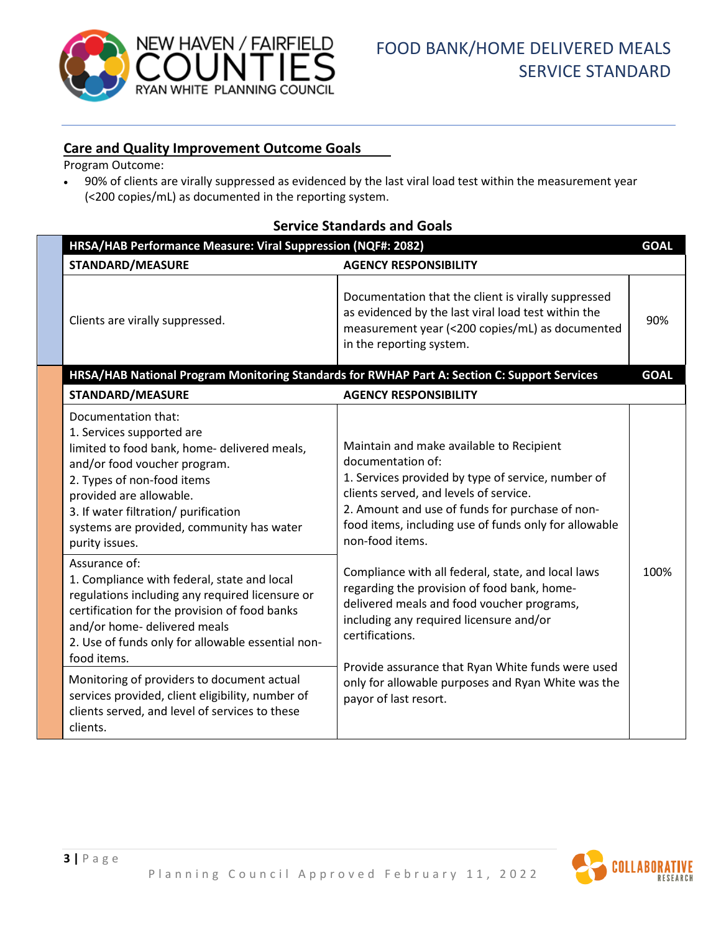

## **Care and Quality Improvement Outcome Goals**

Program Outcome:

• 90% of clients are virally suppressed as evidenced by the last viral load test within the measurement year (<200 copies/mL) as documented in the reporting system.

| EI VICE Stanuarus anu Obais                                                                                                                                                                                                                                                                      |                                                                                                                                                                                                                                                                                              |             |  |  |
|--------------------------------------------------------------------------------------------------------------------------------------------------------------------------------------------------------------------------------------------------------------------------------------------------|----------------------------------------------------------------------------------------------------------------------------------------------------------------------------------------------------------------------------------------------------------------------------------------------|-------------|--|--|
| HRSA/HAB Performance Measure: Viral Suppression (NQF#: 2082)                                                                                                                                                                                                                                     |                                                                                                                                                                                                                                                                                              | <b>GOAL</b> |  |  |
| <b>STANDARD/MEASURE</b>                                                                                                                                                                                                                                                                          | <b>AGENCY RESPONSIBILITY</b>                                                                                                                                                                                                                                                                 |             |  |  |
| Clients are virally suppressed.                                                                                                                                                                                                                                                                  | Documentation that the client is virally suppressed<br>as evidenced by the last viral load test within the<br>measurement year (<200 copies/mL) as documented<br>in the reporting system.                                                                                                    | 90%         |  |  |
| HRSA/HAB National Program Monitoring Standards for RWHAP Part A: Section C: Support Services<br><b>GOAL</b>                                                                                                                                                                                      |                                                                                                                                                                                                                                                                                              |             |  |  |
| <b>STANDARD/MEASURE</b>                                                                                                                                                                                                                                                                          | <b>AGENCY RESPONSIBILITY</b>                                                                                                                                                                                                                                                                 |             |  |  |
| Documentation that:<br>1. Services supported are<br>limited to food bank, home- delivered meals,<br>and/or food voucher program.<br>2. Types of non-food items<br>provided are allowable.<br>3. If water filtration/ purification<br>systems are provided, community has water<br>purity issues. | Maintain and make available to Recipient<br>documentation of:<br>1. Services provided by type of service, number of<br>clients served, and levels of service.<br>2. Amount and use of funds for purchase of non-<br>food items, including use of funds only for allowable<br>non-food items. |             |  |  |
| Assurance of:<br>1. Compliance with federal, state and local<br>regulations including any required licensure or<br>certification for the provision of food banks<br>and/or home- delivered meals<br>2. Use of funds only for allowable essential non-<br>food items.                             | Compliance with all federal, state, and local laws<br>regarding the provision of food bank, home-<br>delivered meals and food voucher programs,<br>including any required licensure and/or<br>certifications.<br>Provide assurance that Ryan White funds were used                           | 100%        |  |  |
| Monitoring of providers to document actual<br>services provided, client eligibility, number of<br>clients served, and level of services to these<br>clients.                                                                                                                                     | only for allowable purposes and Ryan White was the<br>payor of last resort.                                                                                                                                                                                                                  |             |  |  |

## **Service Standards and Goals**